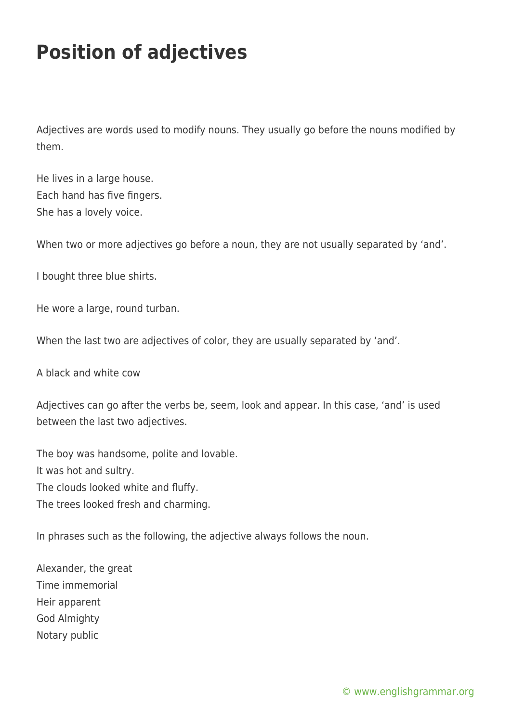## **Position of adjectives**

Adjectives are words used to modify nouns. They usually go before the nouns modified by them.

He lives in a large house. Each hand has five fingers. She has a lovely voice.

When two or more adjectives go before a noun, they are not usually separated by 'and'.

I bought three blue shirts.

He wore a large, round turban.

When the last two are adjectives of color, they are usually separated by 'and'.

A black and white cow

Adjectives can go after the verbs be, seem, look and appear. In this case, 'and' is used between the last two adjectives.

The boy was handsome, polite and lovable. It was hot and sultry. The clouds looked white and fluffy. The trees looked fresh and charming.

In phrases such as the following, the adjective always follows the noun.

Alexander, the great Time immemorial Heir apparent God Almighty Notary public